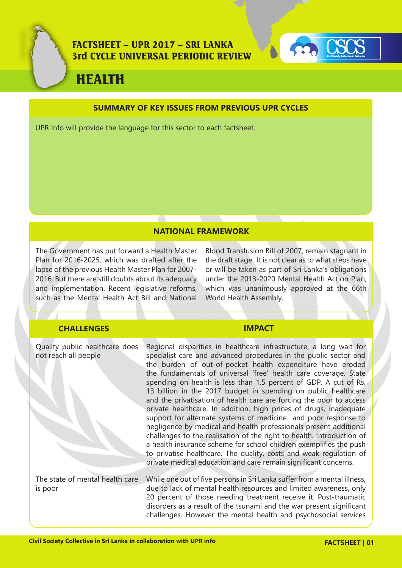



# HEALTH

### **SUMMARY OF KEY ISSUES FROM PREVIOUS UPR CYCLES**

UPR Info will provide the language for this sector to each factsheet.

# **NATIONAL FRAMEWORK**

The Government has put forward a Health Master Plan for 2016-2025, which was drafted after the lapse of the previous Health Master Plan for 2007- 2016. But there are still doubts about its adequacy and implementation. Recent legislative reforms, such as the Mental Health Act Bill and National Blood Transfusion Bill of 2007, remain stagnant in the draft stage. It is not clear as to what steps have or will be taken as part of Sri Lanka's obligations under the 2013-2020 Mental Health Action Plan, which was unanimously approved at the 66th World Health Assembly.

# **CHALLENGES IMPACT**

| Quality public healthcare does<br>not reach all people | Regional disparities in healthcare infrastructure, a long wait for<br>specialist care and advanced procedures in the public sector and<br>the burden of out-of-pocket health expenditure have eroded<br>the fundamentals of universal 'free' health care coverage. State<br>spending on health is less than 1.5 percent of GDP. A cut of Rs.<br>13 billion in the 2017 budget in spending on public healthcare<br>and the privatisation of health care are forcing the poor to access<br>private healthcare. In addition, high prices of drugs, inadequate<br>support for alternate systems of medicine and poor response to<br>negligence by medical and health professionals present additional<br>challenges to the realisation of the right to health. Introduction of<br>a health insurance scheme for school children exemplifies the push<br>to privatise healthcare. The quality, costs and weak regulation of<br>private medical education and care remain significant concerns. |
|--------------------------------------------------------|-------------------------------------------------------------------------------------------------------------------------------------------------------------------------------------------------------------------------------------------------------------------------------------------------------------------------------------------------------------------------------------------------------------------------------------------------------------------------------------------------------------------------------------------------------------------------------------------------------------------------------------------------------------------------------------------------------------------------------------------------------------------------------------------------------------------------------------------------------------------------------------------------------------------------------------------------------------------------------------------|
| The state of mental health care<br>is poor             | While one out of five persons in Sri Lanka suffer from a mental illness,<br>due to lack of mental health resources and limited awareness, only<br>20 percent of those needing treatment receive it. Post-traumatic<br>disorders as a result of the tsunami and the war present significant<br>challenges. However the mental health and psychosocial services                                                                                                                                                                                                                                                                                                                                                                                                                                                                                                                                                                                                                             |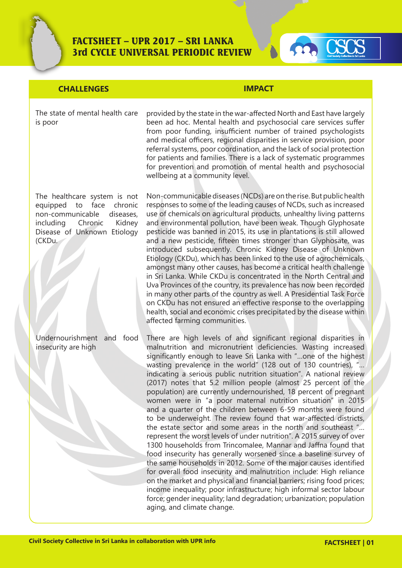



# **CHALLENGES IMPACT**

The state of mental health care is poor

The healthcare system is not equipped to face chronic non-communicable diseases, including Chronic Kidney Disease of Unknown Etiology (CKDu.

Undernourishment and food insecurity are high

provided by the state in the war-affected North and East have largely been ad hoc. Mental health and psychosocial care services suffer from poor funding, insufficient number of trained psychologists and medical officers, regional disparities in service provision, poor referral systems, poor coordination, and the lack of social protection for patients and families. There is a lack of systematic programmes for prevention and promotion of mental health and psychosocial wellbeing at a community level.

Non-communicable diseases (NCDs) are on the rise. But public health responses to some of the leading causes of NCDs, such as increased use of chemicals on agricultural products, unhealthy living patterns and environmental pollution, have been weak. Though Glyphosate pesticide was banned in 2015, its use in plantations is still allowed and a new pesticide, fifteen times stronger than Glyphosate, was introduced subsequently. Chronic Kidney Disease of Unknown Etiology (CKDu), which has been linked to the use of agrochemicals, amongst many other causes, has become a critical health challenge in Sri Lanka. While CKDu is concentrated in the North Central and Uva Provinces of the country, its prevalence has now been recorded in many other parts of the country as well. A Presidential Task Force on CKDu has not ensured an effective response to the overlapping health, social and economic crises precipitated by the disease within affected farming communities.

There are high levels of and significant regional disparities in malnutrition and micronutrient deficiencies. Wasting increased significantly enough to leave Sri Lanka with "…one of the highest wasting prevalence in the world" (128 out of 130 countries), "... indicating a serious public nutrition situation". A national review (2017) notes that 5.2 million people (almost 25 percent of the population) are currently undernourished, 18 percent of pregnant women were in "a poor maternal nutrition situation" in 2015 and a quarter of the children between 6-59 months were found to be underweight. The review found that war-affected districts, the estate sector and some areas in the north and southeast "… represent the worst levels of under nutrition". A 2015 survey of over 1300 households from Trincomalee, Mannar and Jaffna found that food insecurity has generally worsened since a baseline survey of the same households in 2012. Some of the major causes identified for overall food insecurity and malnutrition include: High reliance on the market and physical and financial barriers; rising food prices; income inequality; poor infrastructure; high informal sector labour force; gender inequality; land degradation; urbanization; population aging, and climate change.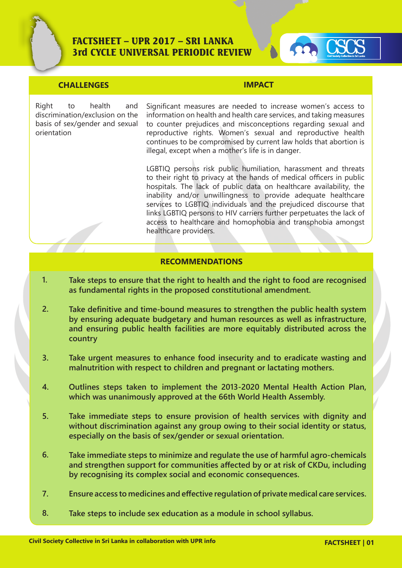

### **CHALLENGES IMPACT**

Right to health and discrimination/exclusion on the basis of sex/gender and sexual orientation

Significant measures are needed to increase women's access to information on health and health care services, and taking measures to counter prejudices and misconceptions regarding sexual and reproductive rights. Women's sexual and reproductive health continues to be compromised by current law holds that abortion is illegal, except when a mother's life is in danger.

LGBTIQ persons risk public humiliation, harassment and threats to their right to privacy at the hands of medical officers in public hospitals. The lack of public data on healthcare availability, the inability and/or unwillingness to provide adequate healthcare services to LGBTIQ individuals and the prejudiced discourse that links LGBTIQ persons to HIV carriers further perpetuates the lack of access to healthcare and homophobia and transphobia amongst healthcare providers.

### **RECOMMENDATIONS**

- **Take steps to ensure that the right to health and the right to food are recognised as fundamental rights in the proposed constitutional amendment. 1.**
- **Take definitive and time-bound measures to strengthen the public health system by ensuring adequate budgetary and human resources as well as infrastructure, and ensuring public health facilities are more equitably distributed across the country 2.**
- **Take urgent measures to enhance food insecurity and to eradicate wasting and malnutrition with respect to children and pregnant or lactating mothers. 3.**
- **Outlines steps taken to implement the 2013-2020 Mental Health Action Plan, which was unanimously approved at the 66th World Health Assembly. 4.**
- **Take immediate steps to ensure provision of health services with dignity and without discrimination against any group owing to their social identity or status, especially on the basis of sex/gender or sexual orientation. 5.**
- **Take immediate steps to minimize and regulate the use of harmful agro-chemicals and strengthen support for communities affected by or at risk of CKDu, including by recognising its complex social and economic consequences. 6.**
- **Ensure access to medicines and effective regulation of private medical care services. 7.**
- **Take steps to include sex education as a module in school syllabus. 8.**